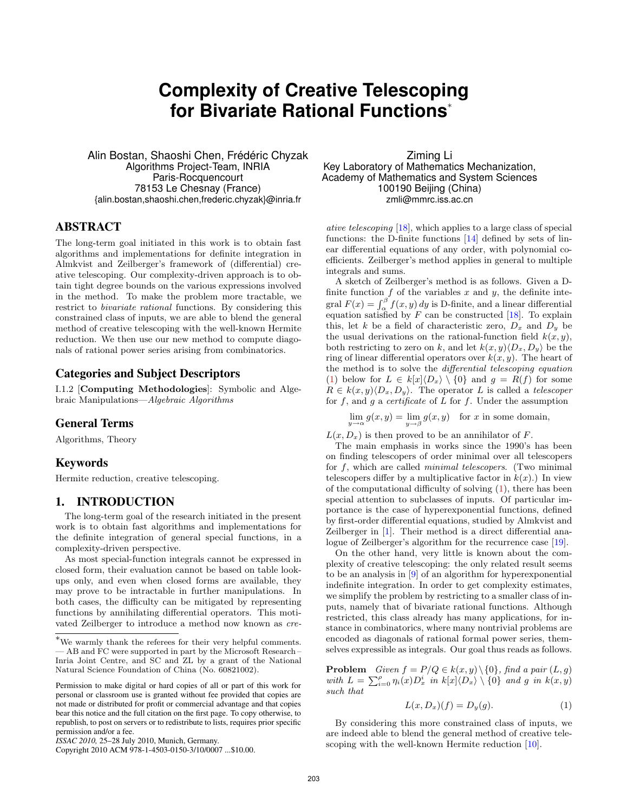# **Complexity of Creative Telescoping for Bivariate Rational Functions**<sup>∗</sup>

Alin Bostan, Shaoshi Chen, Frédéric Chyzak Algorithms Project-Team, INRIA Paris-Rocquencourt 78153 Le Chesnay (France) {alin.bostan,shaoshi.chen,frederic.chyzak}@inria.fr

## ABSTRACT

The long-term goal initiated in this work is to obtain fast algorithms and implementations for definite integration in Almkvist and Zeilberger's framework of (differential) creative telescoping. Our complexity-driven approach is to obtain tight degree bounds on the various expressions involved in the method. To make the problem more tractable, we restrict to bivariate rational functions. By considering this constrained class of inputs, we are able to blend the general method of creative telescoping with the well-known Hermite reduction. We then use our new method to compute diagonals of rational power series arising from combinatorics.

## Categories and Subject Descriptors

I.1.2 [Computing Methodologies]: Symbolic and Algebraic Manipulations—Algebraic Algorithms

## General Terms

Algorithms, Theory

## Keywords

Hermite reduction, creative telescoping.

## 1. INTRODUCTION

The long-term goal of the research initiated in the present work is to obtain fast algorithms and implementations for the definite integration of general special functions, in a complexity-driven perspective.

As most special-function integrals cannot be expressed in closed form, their evaluation cannot be based on table lookups only, and even when closed forms are available, they may prove to be intractable in further manipulations. In both cases, the difficulty can be mitigated by representing functions by annihilating differential operators. This motivated Zeilberger to introduce a method now known as cre-

*ISSAC 2010,* 25–28 July 2010, Munich, Germany.

Ziming Li Key Laboratory of Mathematics Mechanization, Academy of Mathematics and System Sciences 100190 Beijing (China) zmli@mmrc.iss.ac.cn

ative telescoping [\[18\]](#page-7-0), which applies to a large class of special functions: the D-finite functions [\[14\]](#page-7-1) defined by sets of linear differential equations of any order, with polynomial coefficients. Zeilberger's method applies in general to multiple integrals and sums.

A sketch of Zeilberger's method is as follows. Given a Dfinite function  $f$  of the variables  $x$  and  $y$ , the definite integral  $F(x) = \int_{\alpha}^{\beta} f(x, y) dy$  is D-finite, and a linear differential equation satisfied by  $F$  can be constructed [\[18\]](#page-7-0). To explain this, let k be a field of characteristic zero,  $D_x$  and  $D_y$  be the usual derivations on the rational-function field  $k(x, y)$ , both restricting to zero on k, and let  $k(x, y) \langle D_x, D_y \rangle$  be the ring of linear differential operators over  $k(x, y)$ . The heart of the method is to solve the differential telescoping equation [\(1\)](#page-0-0) below for  $L \in k[x]\langle D_x \rangle \setminus \{0\}$  and  $g = R(f)$  for some  $R \in k(x, y) \langle D_x, D_y \rangle$ . The operator L is called a telescoper for  $f$ , and  $g$  a *certificate* of  $L$  for  $f$ . Under the assumption

 $\lim_{y \to \alpha} g(x, y) = \lim_{y \to \beta} g(x, y)$  for x in some domain,

 $L(x, D_x)$  is then proved to be an annihilator of F.

The main emphasis in works since the 1990's has been on finding telescopers of order minimal over all telescopers for  $f$ , which are called *minimal telescopers*. (Two minimal telescopers differ by a multiplicative factor in  $k(x)$ .) In view of the computational difficulty of solving  $(1)$ , there has been special attention to subclasses of inputs. Of particular importance is the case of hyperexponential functions, defined by first-order differential equations, studied by Almkvist and Zeilberger in [\[1\]](#page-7-2). Their method is a direct differential analogue of Zeilberger's algorithm for the recurrence case [\[19\]](#page-7-3).

On the other hand, very little is known about the complexity of creative telescoping: the only related result seems to be an analysis in [\[9\]](#page-7-4) of an algorithm for hyperexponential indefinite integration. In order to get complexity estimates, we simplify the problem by restricting to a smaller class of inputs, namely that of bivariate rational functions. Although restricted, this class already has many applications, for instance in combinatorics, where many nontrivial problems are encoded as diagonals of rational formal power series, themselves expressible as integrals. Our goal thus reads as follows.

**Problem** Given  $f = P/Q \in k(x, y) \setminus \{0\}$ , find a pair  $(L, g)$ with  $L = \sum_{i=0}^{\rho} \eta_i(x) D_x^i$  in  $k[x] \langle D_x \rangle \setminus \{0\}$  and g in  $k(x, y)$ such that

<span id="page-0-0"></span>
$$
L(x, D_x)(f) = D_y(g). \tag{1}
$$

By considering this more constrained class of inputs, we are indeed able to blend the general method of creative telescoping with the well-known Hermite reduction [\[10\]](#page-7-5).

<sup>∗</sup>We warmly thank the referees for their very helpful comments. — AB and FC were supported in part by the Microsoft Research – Inria Joint Centre, and SC and ZL by a grant of the National Natural Science Foundation of China (No. 60821002).

Permission to make digital or hard copies of all or part of this work for personal or classroom use is granted without fee provided that copies are not made or distributed for profit or commercial advantage and that copies bear this notice and the full citation on the first page. To copy otherwise, to republish, to post on servers or to redistribute to lists, requires prior specific permission and/or a fee.

Copyright 2010 ACM 978-1-4503-0150-3/10/0007 ...\$10.00.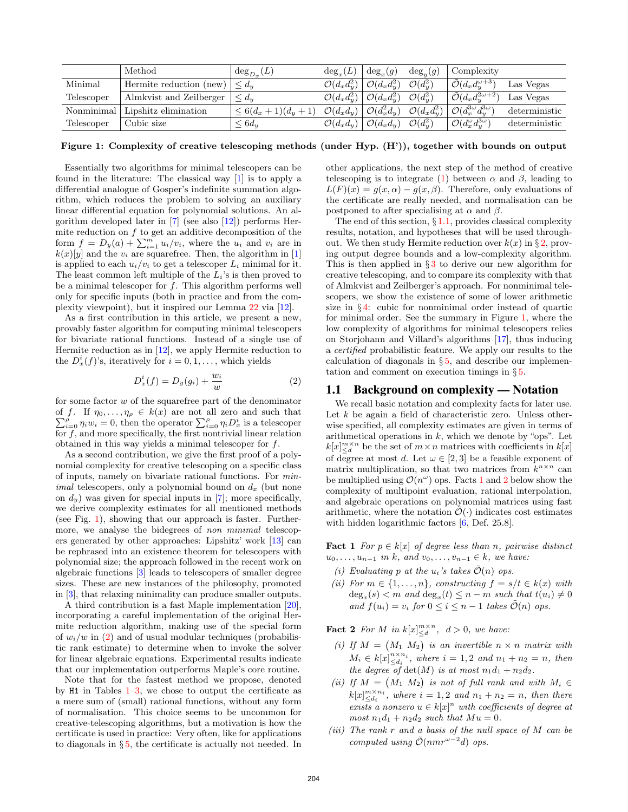|            | Method                  | $\deg_{D_r}(L)$        | $deg_x(L)$               | $\deg_x(g)$              | $deg_u(g)$               | Complexity                                 |               |
|------------|-------------------------|------------------------|--------------------------|--------------------------|--------------------------|--------------------------------------------|---------------|
| Minimal    | Hermite reduction (new) | $\leq d_u$             | $\mathcal{O}(d_x d_y^2)$ | $\mathcal{O}(d_x d_y^2)$ | $\mathcal{O}(d_u^2)$     | $\tilde{\mathcal{O}}(d_x d^{\omega+3}_y)$  | Las Vegas     |
| Telescoper | Almkvist and Zeilberger | $\leq d_u$             | $\mathcal{O}(d_x d_y^2)$ | $\mathcal{O}(d_x d_y^2)$ | $\mathcal{O}(d_u^2)$     | $\tilde{\mathcal{O}}(d_x d_y^{2\omega+2})$ | Las Vegas     |
| Nonminimal | Lipshitz elimination    | $\leq 6(d_x+1)(d_y+1)$ | $\mathcal{O}(d_x d_y)$   | $\mathcal{O}(d_x^2d_y)$  | $\mathcal{O}(d_x d_y^2)$ | $\mathcal{O}(d_x^{3\omega}d_y^{3\omega})$  | deterministic |
| Telescoper | Cubic size              | $\leq 6d_u$            | $\mathcal{O}(d_xd_y)$    | $\mathcal{O}(d_x d_y)$   | $\mathcal{O}(d_u^2)$     | $\mathcal{O}(d_x^{\omega}d_y^{3\omega})$   | deterministic |

<span id="page-1-0"></span>Figure 1: Complexity of creative telescoping methods (under Hyp. (H')), together with bounds on output

Essentially two algorithms for minimal telescopers can be found in the literature: The classical way [\[1\]](#page-7-2) is to apply a differential analogue of Gosper's indefinite summation algorithm, which reduces the problem to solving an auxiliary linear differential equation for polynomial solutions. An algorithm developed later in  $[7]$  (see also  $[12]$ ) performs Hermite reduction on  $f$  to get an additive decomposition of the form  $f = D_y(a) + \sum_{i=1}^m u_i/v_i$ , where the  $u_i$  and  $v_i$  are in  $k(x)[y]$  and the  $v_i$  are squarefree. Then, the algorithm in [\[1\]](#page-7-2) is applied to each  $u_i/v_i$  to get a telescoper  $L_i$  minimal for it. The least common left multiple of the  $L_i$ 's is then proved to be a minimal telescoper for  $f$ . This algorithm performs well only for specific inputs (both in practice and from the complexity viewpoint), but it inspired our Lemma [22](#page-5-0) via [\[12\]](#page-7-7).

As a first contribution in this article, we present a new, provably faster algorithm for computing minimal telescopers for bivariate rational functions. Instead of a single use of Hermite reduction as in [\[12\]](#page-7-7), we apply Hermite reduction to the  $D_x^i(f)$ 's, iteratively for  $i = 0, 1, \ldots$ , which yields

<span id="page-1-1"></span>
$$
D_x^i(f) = D_y(g_i) + \frac{w_i}{w}
$$
 (2)

for some factor  $w$  of the squarefree part of the denominator P of f. If  $\eta_0, \ldots, \eta_\rho \in k(x)$  are not all zero and such that  $\sum_{i=0}^{\rho} \eta_i w_i = 0$ , then the operator  $\sum_{i=0}^{\rho} \eta_i D_x^i$  is a telescoper for  $f$ , and more specifically, the first nontrivial linear relation obtained in this way yields a minimal telescoper for  $f$ .

As a second contribution, we give the first proof of a polynomial complexity for creative telescoping on a specific class of inputs, namely on bivariate rational functions. For min*imal* telescopers, only a polynomial bound on  $d_x$  (but none on  $d_y$ ) was given for special inputs in [\[7\]](#page-7-6); more specifically, we derive complexity estimates for all mentioned methods (see Fig. [1\)](#page-1-0), showing that our approach is faster. Furthermore, we analyse the bidegrees of non minimal telescopers generated by other approaches: Lipshitz' work [\[13\]](#page-7-8) can be rephrased into an existence theorem for telescopers with polynomial size; the approach followed in the recent work on algebraic functions [\[3\]](#page-7-9) leads to telescopers of smaller degree sizes. These are new instances of the philosophy, promoted in [\[3\]](#page-7-9), that relaxing minimality can produce smaller outputs.

A third contribution is a fast Maple implementation [\[20\]](#page-7-10), incorporating a careful implementation of the original Hermite reduction algorithm, making use of the special form of  $w_i/w$  in [\(2\)](#page-1-1) and of usual modular techniques (probabilistic rank estimate) to determine when to invoke the solver for linear algebraic equations. Experimental results indicate that our implementation outperforms Maple's core routine.

Note that for the fastest method we propose, denoted by  $H1$  in Tables  $1-3$ , we chose to output the certificate as a mere sum of (small) rational functions, without any form of normalisation. This choice seems to be uncommon for creative-telescoping algorithms, but a motivation is how the certificate is used in practice: Very often, like for applications to diagonals in § [5,](#page-7-13) the certificate is actually not needed. In

other applications, the next step of the method of creative telescoping is to integrate [\(1\)](#page-0-0) between  $\alpha$  and  $\beta$ , leading to  $L(F)(x) = q(x, \alpha) - q(x, \beta)$ . Therefore, only evaluations of the certificate are really needed, and normalisation can be postponed to after specialising at  $\alpha$  and  $\beta$ .

The end of this section,  $\S 1.1$ , provides classical complexity results, notation, and hypotheses that will be used throughout. We then study Hermite reduction over  $k(x)$  in § [2,](#page-2-0) proving output degree bounds and a low-complexity algorithm. This is then applied in  $\S 3$  $\S 3$  to derive our new algorithm for creative telescoping, and to compare its complexity with that of Almkvist and Zeilberger's approach. For nonminimal telescopers, we show the existence of some of lower arithmetic size in § [4:](#page-6-0) cubic for nonminimal order instead of quartic for minimal order. See the summary in Figure [1,](#page-1-0) where the low complexity of algorithms for minimal telescopers relies on Storjohann and Villard's algorithms [\[17\]](#page-7-14), thus inducing a certified probabilistic feature. We apply our results to the calculation of diagonals in  $\S 5$ , and describe our implementation and comment on execution timings in § [5.](#page-7-13)

## <span id="page-1-2"></span>1.1 Background on complexity — Notation

We recall basic notation and complexity facts for later use. Let  $k$  be again a field of characteristic zero. Unless otherwise specified, all complexity estimates are given in terms of arithmetical operations in  $k$ , which we denote by "ops". Let  $k[x]_{\leq d}^{m \times n}$  be the set of  $m \times n$  matrices with coefficients in  $k[x]$ of degree at most d. Let  $\omega \in [2,3]$  be a feasible exponent of matrix multiplication, so that two matrices from  $k^{n \times n}$  can be multiplied using  $\mathcal{O}(n^{\omega})$  ops. Facts [1](#page-1-3) and [2](#page-1-4) below show the complexity of multipoint evaluation, rational interpolation, and algebraic operations on polynomial matrices using fast arithmetic, where the notation  $\tilde{\mathcal{O}}(\cdot)$  indicates cost estimates with hidden logarithmic factors [\[6,](#page-7-15) Def. 25.8].

<span id="page-1-3"></span>**Fact 1** For  $p \in k[x]$  of degree less than n, pairwise distinct  $u_0, \ldots, u_{n-1}$  in k, and  $v_0, \ldots, v_{n-1} \in k$ , we have:

- (i) Evaluating p at the  $u_i$ 's takes  $\tilde{\mathcal{O}}(n)$  ops.
- (ii) For  $m \in \{1, \ldots, n\}$ , constructing  $f = s/t \in k(x)$  with  $deg_x(s) < m$  and  $deg_x(t) \leq n-m$  such that  $t(u_i) \neq 0$ and  $f(u_i) = v_i$  for  $0 \leq i \leq n-1$  takes  $\tilde{\mathcal{O}}(n)$  ops.

<span id="page-1-4"></span>**Fact 2** For M in  $k[x]_{\leq d}^{m \times n}$ ,  $d > 0$ , we have:

- (i) If  $M = (M_1 \ M_2)$  is an invertible  $n \times n$  matrix with  $M_i \in k[x]_{\leq d_i}^{n \times n_i}$ , where  $i = 1, 2$  and  $n_1 + n_2 = n$ , then the degree of  $\det(M)$  is at most  $n_1d_1 + n_2d_2$ .
- (ii) If  $M = (M_1 \ M_2)$  is not of full rank and with  $M_i \in$  $k[x]_{\leq d_i}^{m \times n_i}$ , where  $i = 1, 2$  and  $n_1 + n_2 = n$ , then there exists a nonzero  $u \in k[x]^n$  with coefficients of degree at most  $n_1d_1 + n_2d_2$  such that  $Mu = 0$ .
- (iii) The rank  $r$  and a basis of the null space of  $M$  can be computed using  $\tilde{\mathcal{O}}(nmr^{\omega-2}d)$  ops.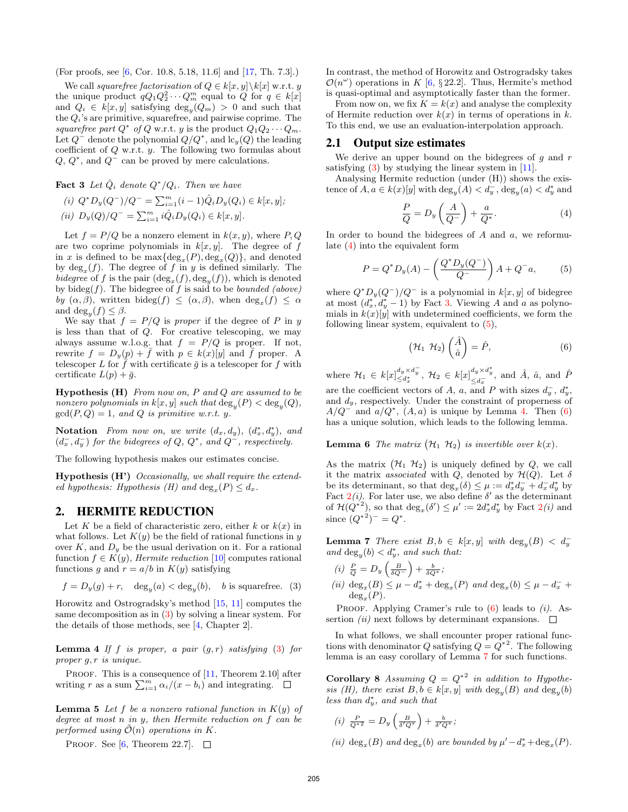(For proofs, see [\[6,](#page-7-15) Cor. 10.8, 5.18, 11.6] and [\[17,](#page-7-14) Th. 7.3].)

We call squarefree factorisation of  $Q \in k[x, y] \backslash k[x]$  w.r.t. y the unique product  $qQ_1Q_2^2 \cdots Q_m^m$  equal to Q for  $q \in k[x]$ and  $Q_i \in k[x, y]$  satisfying  $\deg_y(Q_m) > 0$  and such that the  $Q_i$ 's are primitive, squarefree, and pairwise coprime. The squarefree part  $Q^*$  of Q w.r.t. y is the product  $Q_1 Q_2 \cdots Q_m$ . Let  $Q^-$  denote the polynomial  $Q/Q^*$ , and  $\text{lc}_y(Q)$  the leading coefficient of  $Q$  w.r.t.  $y$ . The following two formulas about  $Q, Q^*$ , and  $Q^-$  can be proved by mere calculations.

<span id="page-2-3"></span>**Fact 3** Let  $\hat{Q}_i$  denote  $Q^*/Q_i$ . Then we have

(i)  $Q^* D_y (Q^-) / Q^- = \sum_{i=1}^m (i-1) \hat{Q}_i D_y (Q_i) \in k[x, y]$ ; (ii)  $D_y(Q)/Q^- = \sum_{i=1}^m i \hat{Q}_i D_y(Q_i) \in k[x, y].$ 

Let  $f = P/Q$  be a nonzero element in  $k(x, y)$ , where P, Q are two coprime polynomials in  $k[x, y]$ . The degree of f in x is defined to be  $\max{\{\text{deg}_x(P), \text{deg}_x(Q)\}}$ , and denoted by  $\deg_x(f)$ . The degree of f in y is defined similarly. The bidegree of f is the pair  $(\deg_x(f), \deg_y(f))$ , which is denoted by bideg(f). The bidegree of f is said to be *bounded* (above) by  $(\alpha, \beta)$ , written bideg $(f) \leq (\alpha, \beta)$ , when  $deg_x(f) \leq \alpha$ and  $\deg_y(f) \leq \beta$ .

We say that  $f = P/Q$  is proper if the degree of P in y is less than that of Q. For creative telescoping, we may always assume w.l.o.g. that  $f = P/Q$  is proper. If not, rewrite  $f = D_y(p) + \bar{f}$  with  $p \in k(x)[y]$  and  $\bar{f}$  proper. A telescoper L for  $\bar{f}$  with certificate  $\bar{g}$  is a telescoper for  $f$  with certificate  $L(p) + \bar{g}$ .

**Hypothesis (H)** From now on, P and Q are assumed to be nonzero polynomials in  $k[x, y]$  such that  $\deg_y(P) < \deg_y(Q)$ ,  $gcd(P,Q) = 1$ , and Q is primitive w.r.t. y.

**Notation** From now on, we write  $(d_x, d_y)$ ,  $(d_x^*, d_y^*)$ , and  $(d_x^-, d_y^-)$  for the bidegrees of Q, Q<sup>\*</sup>, and Q<sup>-</sup>, respectively.

The following hypothesis makes our estimates concise.

Hypothesis (H') Occasionally, we shall require the extended hypothesis: Hypothesis (H) and  $\deg_x(P) \leq d_x$ .

## <span id="page-2-0"></span>2. HERMITE REDUCTION

Let K be a field of characteristic zero, either  $k$  or  $k(x)$  in what follows. Let  $K(y)$  be the field of rational functions in y over  $K$ , and  $D<sub>y</sub>$  be the usual derivation on it. For a rational function  $f \in K(y)$ , Hermite reduction [\[10\]](#page-7-5) computes rational functions g and  $r = a/b$  in  $K(y)$  satisfying

<span id="page-2-1"></span>
$$
f=D_y(g)+r,\quad \deg_y(a)<\deg_y(b),\quad b\text{ is squarefree.}\quad (3)
$$

Horowitz and Ostrogradsky's method [\[15,](#page-7-16) [11\]](#page-7-17) computes the same decomposition as in [\(3\)](#page-2-1) by solving a linear system. For the details of those methods, see [\[4,](#page-7-18) Chapter 2].

**Lemma 4** If f is proper, a pair  $(g, r)$  satisfying [\(3\)](#page-2-1) for proper g, r is unique.

PROOF. This is a consequence of  $[11,$  Theorem 2.10 after writing r as a sum  $\sum_{i=1}^{m} \alpha_i/(x - b_i)$  and integrating.

<span id="page-2-9"></span>**Lemma 5** Let f be a nonzero rational function in  $K(y)$  of degree at most n in y, then Hermite reduction on f can be performed using  $\mathcal{O}(n)$  operations in K.

PROOF. See [\[6,](#page-7-15) Theorem 22.7].  $\Box$ 

In contrast, the method of Horowitz and Ostrogradsky takes  $\mathcal{O}(n^{\omega})$  operations in K [\[6,](#page-7-15) § 22.2]. Thus, Hermite's method is quasi-optimal and asymptotically faster than the former.

From now on, we fix  $K = k(x)$  and analyse the complexity of Hermite reduction over  $k(x)$  in terms of operations in k. To this end, we use an evaluation-interpolation approach.

### 2.1 Output size estimates

We derive an upper bound on the bidegrees of  $q$  and  $r$ satisfying  $(3)$  by studying the linear system in [\[11\]](#page-7-17).

Analysing Hermite reduction (under (H)) shows the existence of  $A, a \in k(x)[y]$  with  $\deg_y(A) < d_y^-, \deg_y(a) < d_y^*$  and

<span id="page-2-2"></span>
$$
\frac{P}{Q} = D_y \left( \frac{A}{Q^-} \right) + \frac{a}{Q^*}.
$$
\n(4)

In order to bound the bidegrees of  $A$  and  $a$ , we reformulate [\(4\)](#page-2-2) into the equivalent form

<span id="page-2-4"></span>
$$
P = Q^* D_y(A) - \left(\frac{Q^* D_y(Q^-)}{Q^-}\right) A + Q^- a,\tag{5}
$$

where  $Q^*D_y(Q^-)/Q^-$  is a polynomial in  $k[x, y]$  of bidegree at most  $(d_x, d_y, d_y, d_x)$  by Fact [3.](#page-2-3) Viewing A and a as polynomials in  $k(x)[y]$  with undetermined coefficients, we form the following linear system, equivalent to [\(5\)](#page-2-4),

<span id="page-2-8"></span><span id="page-2-6"></span>
$$
\left(\mathcal{H}_1 \ \mathcal{H}_2\right) \begin{pmatrix} \hat{A} \\ \hat{a} \end{pmatrix} = \hat{P},\tag{6}
$$

where  $\mathcal{H}_1 \in k[x]_{\leq d_x^*}^{d_y \times d_y^-}$ ,  $\mathcal{H}_2 \in k[x]_{\leq d_x^-}^{d_y \times d_y^*}$ , and  $\hat{A}$ ,  $\hat{a}$ , and  $\hat{P}$ are the coefficient vectors of A, a, and P with sizes  $d_y^-, d_y^*$ , and  $d_y$ , respectively. Under the constraint of properness of  $A/Q^-$  and  $a/Q^*$ ,  $(A, a)$  is unique by Lemma [4.](#page-2-5) Then [\(6\)](#page-2-6) has a unique solution, which leads to the following lemma.

**Lemma 6** The matrix  $(\mathcal{H}_1 \; \mathcal{H}_2)$  is invertible over  $k(x)$ .

As the matrix  $(\mathcal{H}_1 \mathcal{H}_2)$  is uniquely defined by  $Q$ , we call it the matrix associated with Q, denoted by  $\mathcal{H}(Q)$ . Let  $\delta$ be its determinant, so that  $\deg_x(\delta) \leq \mu := d_x^* d_y^- + d_x^- d_y^*$  by Fact  $2(i)$  $2(i)$ . For later use, we also define  $\delta'$  as the determinant of  $\mathcal{H}(Q^{*2})$  $\mathcal{H}(Q^{*2})$  $\mathcal{H}(Q^{*2})$ , so that  $\deg_x(\delta') \leq \mu' := 2d^*_x d^*_y$  by Fact  $2(i)$  and since  $(Q^{*2})^- = Q^*$ .

<span id="page-2-7"></span>**Lemma 7** There exist  $B, b \in k[x, y]$  with  $\deg_y(B) < d_y$ and  $\deg_y(b) < d_y^*$ , and such that:

- (i)  $\frac{P}{Q} = D_y \left( \frac{B}{\delta Q^-} \right) + \frac{b}{\delta Q^*};$
- (ii)  $\deg_x(B) \leq \mu d_x^* + \deg_x(P)$  and  $\deg_x(b) \leq \mu d_x^- +$  $deg_x$  $(P).$

PROOF. Applying Cramer's rule to  $(6)$  leads to  $(i)$ . Assertion *(ii)* next follows by determinant expansions.  $\Box$ 

<span id="page-2-5"></span>In what follows, we shall encounter proper rational functions with denominator Q satisfying  $Q = Q^{*2}$ . The following lemma is an easy corollary of Lemma [7](#page-2-7) for such functions.

**Corollary 8** Assuming  $Q = Q^{*2}$  in addition to Hypothesis (H), there exist  $B, b \in k[x, y]$  with  $\deg_y(B)$  and  $\deg_y(b)$ less than  $d_y^*$ , and such that

<span id="page-2-10"></span>
$$
(i) \frac{P}{Q^*2} = D_y \left( \frac{B}{\delta'Q^*} \right) + \frac{b}{\delta'Q^*};
$$

(ii)  $deg_x(B)$  and  $deg_x(b)$  are bounded by  $\mu' - d_x^* + deg_x(P)$ .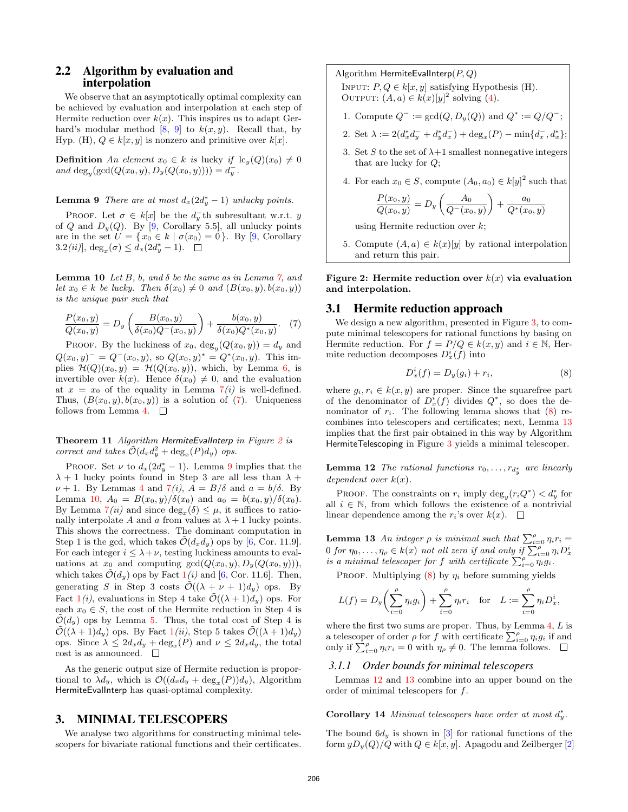## 2.2 Algorithm by evaluation and interpolation

We observe that an asymptotically optimal complexity can be achieved by evaluation and interpolation at each step of Hermite reduction over  $k(x)$ . This inspires us to adapt Gerhard's modular method  $[8, 9]$  $[8, 9]$  $[8, 9]$  to  $k(x, y)$ . Recall that, by Hyp. (H),  $Q \in k[x, y]$  is nonzero and primitive over  $k[x]$ .

**Definition** An element  $x_0 \in k$  is lucky if  $\text{lc}_y(Q)(x_0) \neq 0$ and  $\deg_y(\gcd(Q(x_0, y), D_y(Q(x_0, y)))) = d_y^-.$ 

**Lemma 9** There are at most  $d_x(2d_y^* - 1)$  unlucky points.

PROOF. Let  $\sigma \in k[x]$  be the  $d_y^-$ th subresultant w.r.t. y of Q and  $D_y(Q)$ . By [\[9,](#page-7-4) Corollary 5.5], all unlucky points are in the set  $U = \{x_0 \in k \mid \sigma(x_0) = 0\}$ . By [\[9,](#page-7-4) Corollary  $3.2(ii)$ ,  $\deg_x(\sigma) \leq d_x(2d_y^* - 1)$ .

<span id="page-3-4"></span>**Lemma 10** Let B, b, and  $\delta$  be the same as in Lemma [7,](#page-2-7) and let  $x_0 \in k$  be lucky. Then  $\delta(x_0) \neq 0$  and  $(B(x_0, y), b(x_0, y))$ is the unique pair such that

<span id="page-3-1"></span>
$$
\frac{P(x_0, y)}{Q(x_0, y)} = D_y \left( \frac{B(x_0, y)}{\delta(x_0)Q^-(x_0, y)} \right) + \frac{b(x_0, y)}{\delta(x_0)Q^*(x_0, y)}.
$$
 (7)

PROOF. By the luckiness of  $x_0$ ,  $\deg_y(Q(x_0, y)) = d_y$  and  $Q(x_0, y)^{-} = Q^{-}(x_0, y)$ , so  $Q(x_0, y)^{*} = Q^{*}(x_0, y)$ . This implies  $\mathcal{H}(Q)(x_0, y) = \mathcal{H}(Q(x_0, y))$ , which, by Lemma [6,](#page-2-8) is invertible over  $k(x)$ . Hence  $\delta(x_0) \neq 0$ , and the evaluation at  $x = x_0$  of the equality in Lemma  $7(i)$  $7(i)$  is well-defined. Thus,  $(B(x_0, y), b(x_0, y))$  is a solution of [\(7\)](#page-3-1). Uniqueness follows from Lemma [4.](#page-2-5)  $\square$ 

<span id="page-3-8"></span>Theorem 11 Algorithm HermiteEvalInterp in Figure [2](#page-3-2) is correct and takes  $\tilde{\mathcal{O}}(d_x d_y^2 + \deg_x(P) d_y)$  ops.

PROOF. Set  $\nu$  to  $d_x(2d_y^* - 1)$ . Lemma [9](#page-3-3) implies that the  $\lambda + 1$  lucky points found in Step 3 are all less than  $\lambda +$  $\nu + 1$ . By Lemmas [4](#page-2-5) and  $7(i)$  $7(i)$ ,  $A = B/\delta$  and  $a = b/\delta$ . By Lemma [10,](#page-3-4)  $A_0 = B(x_0, y)/\delta(x_0)$  and  $a_0 = b(x_0, y)/\delta(x_0)$ . By Lemma  $7(ii)$  $7(ii)$  and since  $deg_x(\delta) \leq \mu$ , it suffices to rationally interpolate A and a from values at  $\lambda + 1$  lucky points. This shows the correctness. The dominant computation in Step 1 is the gcd, which takes  $\mathcal{O}(d_x d_y)$  ops by [\[6,](#page-7-15) Cor. 11.9]. For each integer  $i \leq \lambda + \nu$ , testing luckiness amounts to evaluations at  $x_0$  and computing  $gcd(Q(x_0, y), D_y(Q(x_0, y))),$ which takes  $\tilde{\mathcal{O}}(d_y)$  ops by Fact  $1(i)$  $1(i)$  and [\[6,](#page-7-15) Cor. 11.6]. Then, generating S in Step 3 costs  $\mathcal{O}((\lambda + \nu + 1)d_y)$  ops. By Fact  $1(i)$  $1(i)$ , evaluations in Step 4 take  $\tilde{\mathcal{O}}((\lambda+1)d_y)$  ops. For each  $x_0 \in S$ , the cost of the Hermite reduction in Step 4 is  $\tilde{\mathcal{O}}(d_y)$  ops by Lemma [5.](#page-2-9) Thus, the total cost of Step 4 is  $\mathcal{O}((\lambda + 1)d_y)$  $\mathcal{O}((\lambda + 1)d_y)$  $\mathcal{O}((\lambda + 1)d_y)$  ops. By Fact  $1(ii)$ , Step 5 takes  $\mathcal{O}((\lambda + 1)d_y)$ ops. Since  $\lambda \leq 2d_x d_y + \deg_x(P)$  and  $\nu \leq 2d_x d_y$ , the total cost is as announced.  $\quad \Box$ 

As the generic output size of Hermite reduction is proportional to  $\lambda d_y$ , which is  $\mathcal{O}((d_x d_y + \deg_x(P))d_y)$ , Algorithm HermiteEvalInterp has quasi-optimal complexity.

#### <span id="page-3-0"></span>3. MINIMAL TELESCOPERS

We analyse two algorithms for constructing minimal telescopers for bivariate rational functions and their certificates.

#### Algorithm HermiteEvalInterp $(P,Q)$

INPUT:  $P, Q \in k[x, y]$  satisfying Hypothesis (H). OUTPUT:  $(A, a) \in k(x)[y]^2$  solving  $(4)$ .

- 1. Compute  $Q^- := \gcd(Q, D_y(Q))$  and  $Q^* := Q/Q^-$ ;
- 2. Set  $\lambda := 2(d_x^* d_y^- + d_y^* d_x^-) + \deg_x(P) \min\{d_x^-, d_x^*\};$
- 3. Set S to the set of  $\lambda+1$  smallest nonnegative integers that are lucky for Q;
- <span id="page-3-3"></span>4. For each  $x_0 \in S$ , compute  $(A_0, a_0) \in k[y]^2$  such that

$$
\frac{P(x_0, y)}{Q(x_0, y)} = D_y \left( \frac{A_0}{Q^-(x_0, y)} \right) + \frac{a_0}{Q^*(x_0, y)}
$$

using Hermite reduction over  $k$ ;

<span id="page-3-2"></span>5. Compute  $(A, a) \in k(x)[y]$  by rational interpolation and return this pair.

Figure 2: Hermite reduction over  $k(x)$  via evaluation and interpolation.

### 3.1 Hermite reduction approach

We design a new algorithm, presented in Figure [3,](#page-4-0) to compute minimal telescopers for rational functions by basing on Hermite reduction. For  $f = P/Q \in k(x, y)$  and  $i \in \mathbb{N}$ , Hermite reduction decomposes  $D_x^i(f)$  into

<span id="page-3-5"></span>
$$
D_x^i(f) = D_y(g_i) + r_i,\tag{8}
$$

where  $g_i, r_i \in k(x, y)$  are proper. Since the squarefree part of the denominator of  $D_x^i(f)$  divides  $Q^*$ , so does the denominator of  $r_i$ . The following lemma shows that  $(8)$  recombines into telescopers and certificates; next, Lemma [13](#page-3-6) implies that the first pair obtained in this way by Algorithm HermiteTelescoping in Figure [3](#page-4-0) yields a minimal telescoper.

<span id="page-3-7"></span>**Lemma 12** The rational functions  $r_0, \ldots, r_{d_y^*}$  are linearly dependent over  $k(x)$ .

PROOF. The constraints on  $r_i$  imply  $\deg_y(r_iQ^*) < d_y^*$  for all  $i \in \mathbb{N}$ , from which follows the existence of a nontrivial linear dependence among the  $r_i$ 's over  $k(x)$ .  $\Box$ 

<span id="page-3-6"></span>**Lemma 13** An integer  $\rho$  is minimal such that  $\sum_{i=0}^{\rho} \eta_i r_i =$  $0$  for  $\eta_0, \ldots, \eta_\rho \in k(x)$  not all zero if and only if  $\sum_{i=0}^\rho \eta_i D_x^i$ is a minimal telescoper for f with certificate  $\sum_{i=0}^{\rho} \eta_i g_i$ .

PROOF. Multiplying  $(8)$  by  $\eta_i$  before summing yields

$$
L(f) = D_y \left( \sum_{i=0}^{\rho} \eta_i g_i \right) + \sum_{i=0}^{\rho} \eta_i r_i \quad \text{for} \quad L := \sum_{i=0}^{\rho} \eta_i D_x^i,
$$

where the first two sums are proper. Thus, by Lemma  $4, L$  $4, L$  is a telescoper of order  $\rho$  for f with certificate  $\sum_{i=0}^{\rho} \eta_i g_i$  if and only if  $\sum_{i=0}^{\rho} \eta_i r_i = 0$  with  $\eta_{\rho} \neq 0$ . The lemma follows.

#### <span id="page-3-9"></span>*3.1.1 Order bounds for minimal telescopers*

Lemmas [12](#page-3-7) and [13](#page-3-6) combine into an upper bound on the order of minimal telescopers for f.

Corollary 14 Minimal telescopers have order at most  $d_y^*$ .

The bound  $6d_y$  is shown in [\[3\]](#page-7-9) for rational functions of the form  $yD_y(Q)/Q$  with  $Q \in k[x, y]$ . Apagodu and Zeilberger [\[2\]](#page-7-20)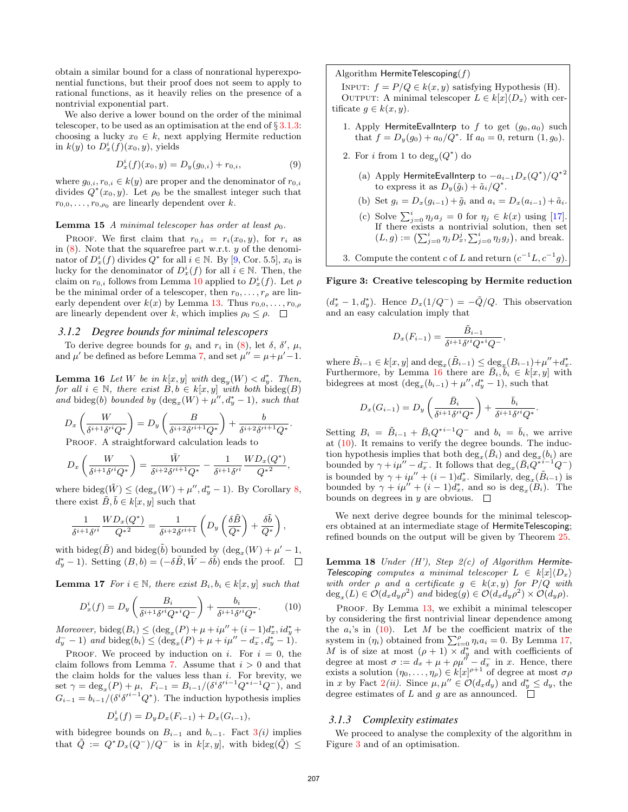obtain a similar bound for a class of nonrational hyperexponential functions, but their proof does not seem to apply to rational functions, as it heavily relies on the presence of a nontrivial exponential part.

We also derive a lower bound on the order of the minimal telescoper, to be used as an optimisation at the end of  $\S 3.1.3$ : choosing a lucky  $x_0 \in k$ , next applying Hermite reduction in  $k(y)$  to  $D_x^i(f)(x_0, y)$ , yields

<span id="page-4-6"></span>
$$
D_x^i(f)(x_0, y) = D_y(g_{0,i}) + r_{0,i},
$$
\n(9)

where  $g_{0,i}, r_{0,i} \in k(y)$  are proper and the denominator of  $r_{0,i}$ divides  $Q^*(x_0, y)$ . Let  $\rho_0$  be the smallest integer such that  $r_{0,0}, \ldots, r_{0,\rho_0}$  are linearly dependent over k.

**Lemma 15** A minimal telescoper has order at least  $\rho_0$ .

PROOF. We first claim that  $r_{0,i} = r_i(x_0, y)$ , for  $r_i$  as in  $(8)$ . Note that the squarefree part w.r.t. y of the denominator of  $D_x^i(f)$  divides  $Q^*$  for all  $i \in \mathbb{N}$ . By [\[9,](#page-7-4) Cor. 5.5],  $x_0$  is lucky for the denominator of  $D_x^i(f)$  for all  $i \in \mathbb{N}$ . Then, the claim on  $r_{0,i}$  follows from Lemma [10](#page-3-4) applied to  $D_x^i(f)$ . Let  $\rho$ be the minimal order of a telescoper, then  $r_0, \ldots, r_\rho$  are linearly dependent over  $k(x)$  by Lemma [13.](#page-3-6) Thus  $r_{0,0}, \ldots, r_{0,\rho}$ are linearly dependent over k, which implies  $\rho_0 \leq \rho$ .  $\Box$ 

#### *3.1.2 Degree bounds for minimal telescopers*

To derive degree bounds for  $g_i$  and  $r_i$  in [\(8\)](#page-3-5), let  $\delta$ ,  $\delta'$ ,  $\mu$ , and  $\mu'$  be defined as before Lemma [7,](#page-2-7) and set  $\mu'' = \mu + \mu' - 1$ .

<span id="page-4-2"></span>**Lemma 16** Let W be in  $k[x, y]$  with  $\deg_y(W) < d_y^*$ . Then, for all  $i \in \mathbb{N}$ , there exist  $B, b \in k[x, y]$  with both  $\text{bideg}(B)$ and bideg(b) bounded by  $(\deg_x(W) + \mu'', d_y^* - 1)$ , such that

$$
D_x\left(\frac{W}{\delta^{i+1}\delta'^i Q^*}\right) = D_y\left(\frac{B}{\delta^{i+2}\delta'^{i+1} Q^*}\right) + \frac{b}{\delta^{i+2}\delta'^{i+1} Q^*}.
$$
  
\nPROOF A straightforward calculation leads to

PROOF. A straightforward calculation leads to

$$
D_x\left(\frac{W}{\delta^{i+1}\delta'^i Q^*}\right) = \frac{\tilde{W}}{\delta^{i+2}\delta'^{i+1} Q^*} - \frac{1}{\delta^{i+1}\delta'^i} \frac{W D_x(Q^*)}{Q^{*2}},
$$

where bideg $(\tilde{W}) \leq (\deg_x(W) + \mu'', d_y^* - 1)$ . By Corollary [8,](#page-2-10) there exist  $\tilde{B}, \tilde{b} \in k[x, y]$  such that

$$
\frac{1}{\delta^{i+1}\delta'^i}\frac{WD_x(Q^*)}{Q^{*2}}=\frac{1}{\delta^{i+2}\delta'^{i+1}}\left(D_y\left(\frac{\delta\tilde{B}}{Q^*}\right)+\frac{\delta\tilde{b}}{Q^*}\right),\,
$$

with bideg( $\tilde{B}$ ) and bideg( $\tilde{b}$ ) bounded by  $(\text{deg}_x(W) + \mu' - 1,$  $d_y^* - 1$ ). Setting  $(B, b) = (-\delta \tilde{B}, \tilde{W} - \delta \tilde{b})$  ends the proof.

<span id="page-4-4"></span>**Lemma 17** For  $i \in \mathbb{N}$ , there exist  $B_i, b_i \in k[x, y]$  such that

<span id="page-4-3"></span>
$$
D_x^i(f) = D_y \left( \frac{B_i}{\delta^{i+1} \delta'^i Q^{*i} Q^-} \right) + \frac{b_i}{\delta^{i+1} \delta'^i Q^*}. \tag{10}
$$

Moreover, bideg $(B_i) \leq (\deg_x(P) + \mu + i\mu'' + (i-1)d_x^*, id_y^* +$  $d_y^-$  - 1) and bideg $(b_i) \leq (deg_x(P) + \mu + i\mu'' - d_x^-, d_y^* - 1).$ 

PROOF. We proceed by induction on i. For  $i = 0$ , the claim follows from Lemma [7.](#page-2-7) Assume that  $i > 0$  and that the claim holds for the values less than  $i$ . For brevity, we set  $\gamma = \deg_x(P) + \mu$ ,  $F_{i-1} = B_{i-1}/(\delta^i \delta'^{i-1} Q^{*i-1} Q^{-})$ , and  $G_{i-1} = b_{i-1}/(\delta^{i} \delta'^{i-1} Q^*)$ . The induction hypothesis implies

$$
D_x^i(f) = D_y D_x(F_{i-1}) + D_x(G_{i-1}),
$$

with bidegree bounds on  $B_{i-1}$  and  $b_{i-1}$ . Fact  $3(i)$  $3(i)$  implies that  $\tilde{Q} := Q^* D_x (Q^-) / Q^-$  is in  $k[x, y]$ , with bideg $(\tilde{Q}) \leq$ 

#### Algorithm HermiteTelescoping $(f)$

INPUT:  $f = P/Q \in k(x, y)$  satisfying Hypothesis (H). OUTPUT: A minimal telescoper  $L \in k[x]\langle D_x \rangle$  with certificate  $g \in k(x, y)$ .

- 1. Apply HermiteEvalInterp to  $f$  to get  $(g_0, a_0)$  such that  $f = D_y(g_0) + a_0/Q^*$ . If  $a_0 = 0$ , return  $(1, g_0)$ .
- <span id="page-4-5"></span>2. For *i* from 1 to  $deg_y(Q^*)$  do
	- (a) Apply HermiteEvalInterp to  $-a_{i-1}D_x(Q^*)/Q^{*2}$ to express it as  $D_y(\tilde{g}_i) + \tilde{a}_i/Q^*$ .

(b) Set 
$$
g_i = D_x(g_{i-1}) + \tilde{g}_i
$$
 and  $a_i = D_x(a_{i-1}) + \tilde{a}_i$ .

- (c) Solve  $\sum_{j=0}^{i} \eta_j a_j = 0$  for  $\eta_j \in k(x)$  using [\[17\]](#page-7-14). If there exists a nontrivial solution, then set  $(L, g) := \left( \sum_{j=0}^{i} \eta_j D_x^j, \sum_{j=0}^{i} \eta_j g_j \right)$ , and break.
- <span id="page-4-0"></span>3. Compute the content c of L and return  $(c^{-1}L, c^{-1}g)$ .

## Figure 3: Creative telescoping by Hermite reduction

 $(d_x^* - 1, d_y^*)$ . Hence  $D_x(1/Q^-) = -\tilde{Q}/Q$ . This observation and an easy calculation imply that

$$
D_x(F_{i-1}) = \frac{\tilde{B}_{i-1}}{\delta^{i+1}\delta^{i}Q^{i}Q^{-i}},
$$

where  $\tilde{B}_{i-1} \in k[x, y]$  and  $\deg_x(\tilde{B}_{i-1}) \leq \deg_x(B_{i-1}) + \mu'' + d^*_x$ . Furthermore, by Lemma [16](#page-4-2) there are  $\overline{B}_i, \overline{b}_i \in k[x, y]$  with bidegrees at most  $(\deg_x(b_{i-1}) + \mu'', d_y^* - 1)$ , such that

$$
D_x(G_{i-1}) = D_y\left(\frac{\bar{B}_i}{\delta^{i+1}\delta'^i Q^*}\right) + \frac{\bar{b}_i}{\delta^{i+1}\delta'^i Q^*}
$$

.

Setting  $B_i = \tilde{B}_{i-1} + \bar{B}_i Q^{*i-1} Q^-$  and  $b_i = \bar{b}_i$ , we arrive at  $(10)$ . It remains to verify the degree bounds. The induction hypothesis implies that both  $\deg_x(\bar{B}_i)$  and  $\deg_x(b_i)$  are bounded by  $\gamma + i\mu'' - d_x^-$ . It follows that  $\deg_x(\bar{B}_i\bar{Q}^{*i-1}Q^-)$ is bounded by  $\gamma + i\mu'' + (i - 1)d_x^*$ . Similarly,  $\deg_x(\tilde{B}_{i-1})$  is bounded by  $\gamma + i\mu'' + (i-1)d_x^*$ , and so is  $\deg_x(B_i)$ . The bounds on degrees in y are obvious.  $\square$ 

We next derive degree bounds for the minimal telescopers obtained at an intermediate stage of HermiteTelescoping; refined bounds on the output will be given by Theorem [25.](#page-6-1)

**Lemma 18** Under  $(H')$ , Step  $2(c)$  of Algorithm Hermite-Telescoping computes a minimal telescoper  $L \in k[x]\langle D_x \rangle$ with order  $\rho$  and a certificate  $g \in k(x, y)$  for  $P/Q$  with  $deg_x(L) \in \mathcal{O}(d_x d_y \rho^2)$  and bideg $(g) \in \mathcal{O}(d_x d_y \rho^2) \times \mathcal{O}(d_y \rho)$ .

PROOF. By Lemma [13,](#page-3-6) we exhibit a minimal telescoper by considering the first nontrivial linear dependence among the  $a_i$ 's in  $(10)$ . Let M be the coefficient matrix of the system in  $(\eta_i)$  obtained from  $\sum_{i=0}^{\rho} \eta_i a_i = 0$ . By Lemma [17,](#page-4-4) M is of size at most  $(\rho + 1) \times d_y^*$  and with coefficients of degree at most  $\sigma := d_x + \mu + \rho \mu'' - d_x^-$  in x. Hence, there exists a solution  $(\eta_0, \dots, \eta_\rho) \in k[x]^{\rho+1}$  of degree at most  $\sigma \rho$ in x by Fact  $2(ii)$  $2(ii)$ . Since  $\mu, \mu'' \in \mathcal{O}(d_x d_y)$  and  $d_y^* \leq d_y$ , the degree estimates of L and g are as announced.  $\square$ 

#### <span id="page-4-1"></span>*3.1.3 Complexity estimates*

We proceed to analyse the complexity of the algorithm in Figure [3](#page-4-0) and of an optimisation.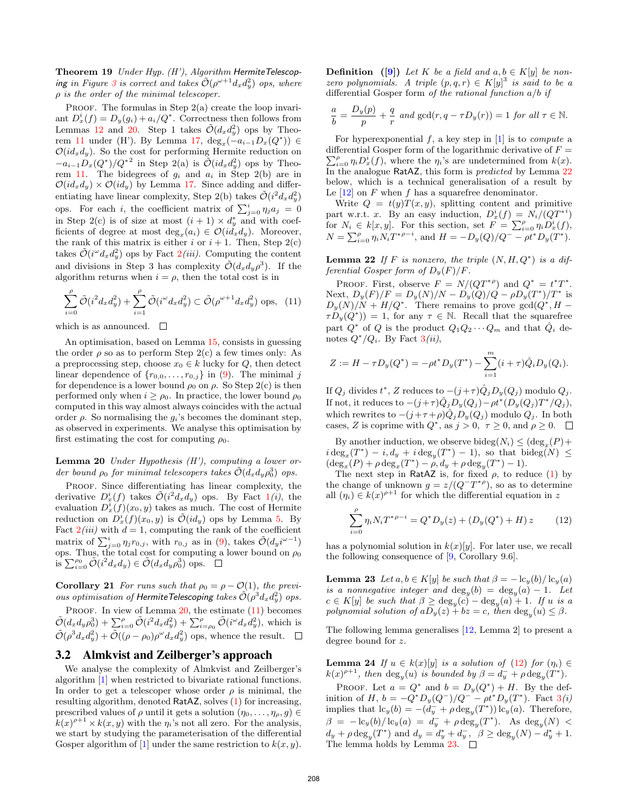Theorem 19 Under Hyp. (H'), Algorithm HermiteTelescop-ing in Figure [3](#page-4-0) is correct and takes  $\tilde{\mathcal{O}}(\rho^{\omega+1}d_xd_y^2)$  ops, where  $\rho$  is the order of the minimal telescoper.

PROOF. The formulas in Step  $2(a)$  create the loop invariant  $D_x^i(f) = D_y(g_i) + a_i/Q^*$ . Correctness then follows from Lemmas [12](#page-3-7) and [20.](#page-5-1) Step 1 takes  $\tilde{\mathcal{O}}(d_x d_y^2)$  ops by Theo-rem [11](#page-3-8) under (H'). By Lemma [17,](#page-4-4)  $\deg_x(-a_{i-1}D_x(Q^*)) \in$  $\mathcal{O}(id_xd_y)$ . So the cost for performing Hermite reduction on  $-a_{i-1}D_x(Q^*)/Q^{*2}$  in Step 2(a) is  $\tilde{\mathcal{O}}(id_xd_y^2)$  ops by Theo-rem [11.](#page-3-8) The bidegrees of  $g_i$  and  $a_i$  in Step 2(b) are in  $\mathcal{O}(id_xd_y) \times \mathcal{O}(id_y)$  by Lemma [17.](#page-4-4) Since adding and differentiating have linear complexity, Step 2(b) takes  $\tilde{\mathcal{O}}(i^2 d_x d_y^2)$ ops. For each *i*, the coefficient matrix of  $\sum_{j=0}^{i} \eta_j a_j = 0$ in Step 2(c) is of size at most  $(i + 1) \times d_y^*$  and with coefficients of degree at most  $deg_x(a_i) \in \mathcal{O}(id_x d_y)$ . Moreover, the rank of this matrix is either i or  $i + 1$ . Then, Step 2(c) takes  $\tilde{\mathcal{O}}(i^{\omega}d_x d_y^2)$  $\tilde{\mathcal{O}}(i^{\omega}d_x d_y^2)$  $\tilde{\mathcal{O}}(i^{\omega}d_x d_y^2)$  ops by Fact  $2(iii)$ . Computing the content and divisions in Step 3 has complexity  $\tilde{\mathcal{O}}(d_x d_y \rho^3)$ . If the algorithm returns when  $i = \rho$ , then the total cost is in

<span id="page-5-2"></span>
$$
\sum_{i=0}^{\rho} \tilde{\mathcal{O}}(i^2 d_x d_y^2) + \sum_{i=1}^{\rho} \tilde{\mathcal{O}}(i^{\omega} d_x d_y^2) \subset \tilde{\mathcal{O}}(\rho^{\omega+1} d_x d_y^2) \text{ ops}, \tag{11}
$$

which is as announced.  $\quad \Box$ 

An optimisation, based on Lemma [15,](#page-4-5) consists in guessing the order  $\rho$  so as to perform Step 2(c) a few times only: As a preprocessing step, choose  $x_0 \in k$  lucky for  $Q$ , then detect linear dependence of  $\{r_{0,0}, \ldots, r_{0,j}\}$  in [\(9\)](#page-4-6). The minimal j for dependence is a lower bound  $\rho_0$  on  $\rho$ . So Step 2(c) is then performed only when  $i \geq \rho_0$ . In practice, the lower bound  $\rho_0$ computed in this way almost always coincides with the actual order  $\rho$ . So normalising the  $g_i$ 's becomes the dominant step, as observed in experiments. We analyse this optimisation by first estimating the cost for computing  $\rho_0$ .

<span id="page-5-1"></span>**Lemma 20** Under Hypothesis  $(H')$ , computing a lower order bound  $\rho_0$  for minimal telescopers takes  $\tilde{\mathcal{O}}(d_xd_y\rho_0^3)$  ops.

PROOF. Since differentiating has linear complexity, the derivative  $D_x^i(f)$  takes  $\tilde{\mathcal{O}}(i^2 d_x d_y)$  ops. By Fact  $1(i)$  $1(i)$ , the evaluation  $D_x^i(f)(x_0, y)$  takes as much. The cost of Hermite reduction on  $D_x^i(f)(x_0, y)$  is  $\tilde{\mathcal{O}}(id_y)$  ops by Lemma [5.](#page-2-9) By Fact  $2(iii)$  $2(iii)$  with  $d = 1$ , computing the rank of the coefficient matrix of  $\sum_{j=0}^{i} \eta_j r_{0,j}$ , with  $r_{0,j}$  as in [\(9\)](#page-4-6), takes  $\tilde{\mathcal{O}}(d_y i^{\omega-1})$ ops. Thus, the total cost for computing a lower bound on  $\rho_0$ is  $\sum_{i=0}^{\rho_0} \tilde{\mathcal{O}}(i^2 d_x d_y) \in \tilde{\mathcal{O}}(d_x d_y \rho_0^3)$  ops.

**Corollary 21** For runs such that  $\rho_0 = \rho - \mathcal{O}(1)$ , the previous optimisation of HermiteTelescoping takes  $\tilde{\mathcal{O}}(\rho^3 d_x d_y^2)$  ops.

PROOF. In view of Lemma [20,](#page-5-1) the estimate [\(11\)](#page-5-2) becomes  $\tilde{\mathcal{O}}(d_x d_y \rho_0^3) + \sum_{i=0}^{\rho} \tilde{\mathcal{O}}(i^2 d_x d_y^2) + \sum_{i=\rho_0}^{\rho} \tilde{\mathcal{O}}(i^{\omega} d_x d_y^2),$  which is  $\tilde{\mathcal{O}}(\rho^3 d_x d_y^2) + \tilde{\mathcal{O}}((\rho - \rho_0) \rho^{\omega} d_x d_y^2)$  ops, whence the result.

## 3.2 Almkvist and Zeilberger's approach

We analyse the complexity of Almkvist and Zeilberger's algorithm [\[1\]](#page-7-2) when restricted to bivariate rational functions. In order to get a telescoper whose order  $\rho$  is minimal, the resulting algorithm, denoted RatAZ, solves [\(1\)](#page-0-0) for increasing, prescribed values of  $\rho$  until it gets a solution  $(\eta_0, \ldots, \eta_q, q) \in$  $k(x)^{\rho+1} \times k(x, y)$  with the  $\eta_i$ 's not all zero. For the analysis, we start by studying the parameterisation of the differential Gosper algorithm of [\[1\]](#page-7-2) under the same restriction to  $k(x, y)$ . **Definition** ([\[9\]](#page-7-4)) Let K be a field and  $a, b \in K[y]$  be nonzero polynomials. A triple  $(p,q,r) \in K[y]^3$  is said to be a differential Gosper form of the rational function  $a/b$  if

$$
\frac{a}{b} = \frac{D_y(p)}{p} + \frac{q}{r} \text{ and } \gcd(r, q - \tau D_y(r)) = 1 \text{ for all } \tau \in \mathbb{N}.
$$

For hyperexponential  $f$ , a key step in [\[1\]](#page-7-2) is to *compute* a differential Gosper form of the logarithmic derivative of  $F =$  $\sum_{i=0}^{\rho} \eta_i D_x^i(f)$ , where the  $\eta_i$ 's are undetermined from  $k(x)$ . In the analogue RatAZ, this form is *predicted* by Lemma  $22$ below, which is a technical generalisation of a result by Le  $[12]$  on F when f has a squarefree denominator.

Write  $Q = t(y)T(x, y)$ , splitting content and primitive part w.r.t. x. By an easy induction,  $D_x^i(f) = N_i/(QT^{*i})$ for  $N_i \in k[x, y]$ . For this section, set  $F = \sum_{i=0}^{\rho} \eta_i D_x^i(f)$ ,  $N = \sum_{i=0}^{\rho} \eta_i N_i T^{*\rho-i}$ , and  $H = -D_y(Q)/Q^- - \rho t^* D_y(T^*)$ .

<span id="page-5-0"></span>**Lemma 22** If F is nonzero, the triple  $(N, H, Q^*)$  is a differential Gosper form of  $D_y(F)/F$ .

PROOF. First, observe  $F = N/(QT^{*\rho})$  and  $Q^* = t^*T^*$ . Next,  $D_y(F)/F = D_y(N)/N - D_y(Q)/Q - \rho D_y(T^*)/T^*$  is  $D_y(N)/N + H/Q^*$ . There remains to prove  $gcd(Q^*, H \tau D_y(Q^*)) = 1$ , for any  $\tau \in \mathbb{N}$ . Recall that the squarefree part  $Q^*$  of Q is the product  $Q_1 Q_2 \cdots Q_m$  and that  $\hat{Q}_i$  denotes  $Q^*/Q_i$ . By Fact  $3(ii)$  $3(ii)$ ,

$$
Z := H - \tau D_y(Q^*) = -\rho t^* D_y(T^*) - \sum_{i=1}^m (i + \tau) \hat{Q}_i D_y(Q_i).
$$

If  $Q_j$  divides  $t^*$ , Z reduces to  $-(j+\tau)\hat{Q}_jD_y(Q_j)$  modulo  $Q_j$ . If not, it reduces to  $-(j+\tau)\hat{Q}_j D_y(Q_j) - \rho t^*(D_y(Q_j)T^*/Q_j),$ which rewrites to  $-(j+\tau+\rho)\hat{Q}_jD_y(Q_j)$  modulo  $Q_j$ . In both cases, Z is coprime with  $Q^*$ , as  $j > 0$ ,  $\tau \ge 0$ , and  $\rho \ge 0$ .

By another induction, we observe bide $g(N_i) \leq (deg_x(P) +$  $i \deg_x(T^*) - i, d_y + i \deg_y(T^*) - 1$ , so that bideg(N)  $\leq$  $(\deg_x(P) + \rho \deg_x(T^*) - \rho, d_y + \rho \deg_y(T^*) - 1).$ 

The next step in RatAZ is, for fixed  $\rho$ , to reduce [\(1\)](#page-0-0) by the change of unknown  $g = z/(Q^-T^{*\rho})$ , so as to determine all  $(\eta_i) \in k(x)^{\rho+1}$  for which the differential equation in z

<span id="page-5-3"></span>
$$
\sum_{i=0}^{\rho} \eta_i N_i T^{*\rho-i} = Q^* D_y(z) + (D_y(Q^*) + H) z \tag{12}
$$

has a polynomial solution in  $k(x)[y]$ . For later use, we recall the following consequence of [\[9,](#page-7-4) Corollary 9.6].

<span id="page-5-4"></span>**Lemma 23** Let  $a, b \in K[y]$  be such that  $\beta = -\frac{\log(b)}{\log(a)}$ is a nonnegative integer and  $deg_y(b) = deg_y(a) - 1$ . Let  $c \in K[y]$  be such that  $\beta \ge \deg_y(c) - \deg_y(a) + 1$ . If u is a polynomial solution of  $aD_y(z) + bz = c$ , then  $\deg_y(u) \leq \beta$ .

The following lemma generalises [\[12,](#page-7-7) Lemma 2] to present a degree bound for z.

<span id="page-5-5"></span>**Lemma 24** If  $u \in k(x)[y]$  is a solution of [\(12\)](#page-5-3) for  $(\eta_i) \in$  $k(x)^{\rho+1}$ , then  $\deg_y(u)$  is bounded by  $\beta = d_y^- + \rho \deg_y(T^*)$ .

PROOF. Let  $a = Q^*$  and  $b = D_y(Q^*) + H$ . By the definition of H,  $b = -Q^* D_y (Q^-) / Q^- - \rho t^* D_y (T^*)$ . Fact  $3(i)$  $3(i)$ implies that  $lc_y(b) = -(d_y + \rho \deg_y(T^*))$   $lc_y(a)$ . Therefore,  $\beta = -\frac{\log(b)}{\log(a)} = d_y^- + \rho \deg_y(T^*)$ . As  $\deg_y(N)$  $d_y + \rho \deg_y(T^*)$  and  $d_y = d_y^* + d_y^-, \ \ \beta \ge \deg_y(N) - d_y^* + 1.$ The lemma holds by Lemma [23.](#page-5-4)  $\square$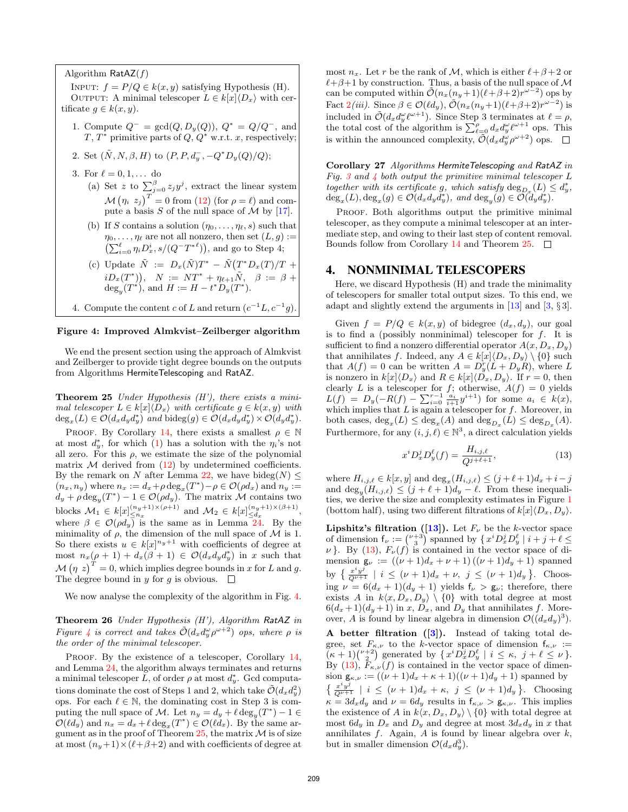Algorithm  $\textsf{RatAZ}(f)$ 

INPUT:  $f = P/Q \in k(x, y)$  satisfying Hypothesis (H). OUTPUT: A minimal telescoper  $L \in k[x]\langle D_x \rangle$  with certificate  $g \in k(x, y)$ .

- 1. Compute  $Q^- = \gcd(Q, D_y(Q)), Q^* = Q/Q^-,$  and T,  $T^*$  primitive parts of  $Q, Q^*$  w.r.t. x, respectively;
- 2. Set  $(\tilde{N}, N, \beta, H)$  to  $(P, P, d_y^-, -Q^*D_y(Q)/Q);$
- 3. For  $\ell = 0, 1, ...$  do
	- (a) Set z to  $\sum_{j=0}^{\beta} z_j y^j$ , extract the linear system  $\mathcal{M}(\eta_i, z_j)^T = 0$  from [\(12\)](#page-5-3) (for  $\rho = \ell$ ) and compute a basis S of the null space of M by  $[17]$ .
	- (b) If S contains a solution  $(\eta_0, \ldots, \eta_\ell, s)$  such that  $\eta_0, \ldots, \eta_\ell$  are not all nonzero, then set  $(L, g) :=$  $\left(\sum_{i=0}^{\ell} \eta_i D_x^i, s/(Q^-T^{*\ell})\right)$ , and go to Step 4;
	- (c) Update  $\tilde{N} := D_x(\tilde{N})T^* \tilde{N}(T^*D_x(T)/T +$  $iD_x(T^*)),$   $N := NT^* + \eta_{\ell+1}N,$   $\beta := \beta +$  $\deg_y(T^*)$ , and  $H := H - t^* D_y(T^*)$ .
- <span id="page-6-2"></span>4. Compute the content c of L and return  $(c^{-1}L, c^{-1}g)$ .

#### Figure 4: Improved Almkvist–Zeilberger algorithm

We end the present section using the approach of Almkvist and Zeilberger to provide tight degree bounds on the outputs from Algorithms HermiteTelescoping and RatAZ.

<span id="page-6-1"></span>**Theorem 25** Under Hypothesis  $(H')$ , there exists a minimal telescoper  $L \in k[x] \langle D_x \rangle$  with certificate  $g \in k(x, y)$  with  $deg_x(L) \in \mathcal{O}(d_x d_y d_y^*)$  and bideg $(g) \in \mathcal{O}(d_x d_y d_y^*) \times \mathcal{O}(d_y d_y^*)$ .

PROOF. By Corollary [14,](#page-3-9) there exists a smallest  $\rho \in \mathbb{N}$ at most  $d_y^*$ , for which [\(1\)](#page-0-0) has a solution with the  $\eta_i$ 's not all zero. For this  $\rho$ , we estimate the size of the polynomial matrix  $M$  derived from  $(12)$  by undetermined coefficients. By the remark on N after Lemma [22,](#page-5-0) we have bideg(N)  $\leq$  $(n_x, n_y)$  where  $n_x := d_x + \rho \deg_x(T^*) - \rho \in \mathcal{O}(\rho d_x)$  and  $n_y :=$  $d_y + \rho \deg_y(T^*) - 1 \in \mathcal{O}(\rho d_y)$ . The matrix M contains two blocks  $M_1 \in k[x]_{\leq n_x}^{(n_y+1)\times(\rho+1)}$  and  $M_2 \in k[x]_{\leq d_x}^{(n_y+1)\times(\beta+1)}$ , where  $\beta \in \mathcal{O}(\rho d_y)$  is the same as in Lemma [24.](#page-5-5) By the minimality of  $\rho$ , the dimension of the null space of  $\mathcal M$  is 1. So there exists  $u \in k[x]^{n_y+1}$  with coefficients of degree at most  $n_x(\rho+1) + d_x(\beta+1) \in \mathcal{O}(d_x d_y d_y^*)$  in x such that  $\mathcal{M}(\eta z)^{T} = 0$ , which implies degree bounds in x for L and g. The degree bound in y for q is obvious.  $\square$ 

We now analyse the complexity of the algorithm in Fig. [4.](#page-6-2)

Theorem 26 Under Hypothesis (H'), Algorithm RatAZ in Figure [4](#page-6-2) is correct and takes  $\tilde{\mathcal{O}}(d_x d_y^{\omega} \rho^{\omega+2})$  ops, where  $\rho$  is the order of the minimal telescoper.

PROOF. By the existence of a telescoper, Corollary [14,](#page-3-9) and Lemma [24,](#page-5-5) the algorithm always terminates and returns a minimal telescoper  $\overline{L}$ , of order  $\rho$  at most  $d_y^*$ . Gcd computations dominate the cost of Steps 1 and 2, which take  $\tilde{\mathcal{O}}(d_x d_y^2)$ ops. For each  $\ell \in \mathbb{N}$ , the dominating cost in Step 3 is computing the null space of M. Let  $n_y = d_y + \ell \deg_y(T^*) - 1 \in$  $\mathcal{O}(\ell d_y)$  and  $n_x = d_x + \ell \deg_x(T^*) \in \mathcal{O}(\ell d_x)$ . By the same ar-gument as in the proof of Theorem [25,](#page-6-1) the matrix  $\mathcal M$  is of size at most  $(n_y+1)\times(\ell+\beta+2)$  and with coefficients of degree at most  $n_x$ . Let r be the rank of M, which is either  $\ell + \beta + 2$  or  $\ell + \beta + 1$  by construction. Thus, a basis of the null space of M can be computed within  $\tilde{\mathcal{O}}(n_x(n_y+1)(\ell+\beta+2)r^{\omega-2})$  ops by Fact  $2(iii)$  $2(iii)$ . Since  $\beta \in \mathcal{O}(\ell d_y)$ ,  $\tilde{\mathcal{O}}(n_x(n_y+1)(\ell+\beta+2)r^{\omega-2})$  is included in  $\tilde{\mathcal{O}}(d_x d_y^{\omega} \ell^{\omega+1})$ . Since Step 3 terminates at  $\ell = \rho$ , the total cost of the algorithm is  $\sum_{\ell=0}^{\rho} d_x d_y^{\omega} \ell^{\omega+1}$  ops. This is within the announced complexity,  $\tilde{\mathcal{O}}(d_x d_y^{\omega} \rho^{\omega+2})$  ops.

Corollary 27 Algorithms HermiteTelescoping and RatAZ in Fig. [3](#page-4-0) and  $\lambda$  both output the primitive minimal telescoper L together with its certificate g, which satisfy  $\deg_{D_x}(L) \leq d_y^*$ ,  $\deg_x(L), \deg_x(g) \in \mathcal{O}(d_x d_y d_y^*), \text{ and } \deg_y(g) \in \mathcal{O}(d_y d_y^*).$ 

PROOF. Both algorithms output the primitive minimal telescoper, as they compute a minimal telescoper at an intermediate step, and owing to their last step of content removal. Bounds follow from Corollary [14](#page-3-9) and Theorem [25.](#page-6-1)  $\Box$ 

## <span id="page-6-0"></span>4. NONMINIMAL TELESCOPERS

Here, we discard Hypothesis (H) and trade the minimality of telescopers for smaller total output sizes. To this end, we adapt and slightly extend the arguments in  $[13]$  and  $[3, §3]$  $[3, §3]$ .

Given  $f = P/Q \in k(x, y)$  of bidegree  $(d_x, d_y)$ , our goal is to find a (possibly nonminimal) telescoper for  $f$ . It is sufficient to find a nonzero differential operator  $A(x, D_x, D_y)$ that annihilates f. Indeed, any  $A \in k[x]\langle D_x, D_y \rangle \setminus \{0\}$  such that  $A(f) = 0$  can be written  $A = D_y^r (L + D_y R)$ , where L is nonzero in  $k[x]\langle D_x \rangle$  and  $R \in k[x]\langle D_x, D_y \rangle$ . If  $r = 0$ , then clearly L is a telescoper for f; otherwise,  $A(f) = 0$  yields  $L(f) = D_y(-R(f) - \sum_{i=0}^{r-1} \frac{a_i}{i+1} y^{i+1})$  for some  $a_i \in k(x)$ , which implies that  $L$  is again a telescoper for  $f$ . Moreover, in both cases,  $deg_x(L) \le deg_x(A)$  and  $deg_{D_x}(L) \le deg_{D_x}(A)$ . Furthermore, for any  $(i, j, \ell) \in \mathbb{N}^3$ , a direct calculation yields

<span id="page-6-3"></span>
$$
x^{i} D_{x}^{j} D_{y}^{\ell}(f) = \frac{H_{i,j,\ell}}{Q^{j+\ell+1}},
$$
\n(13)

where  $H_{i,j,\ell} \in k[x,y]$  and  $\deg_x(H_{i,j,\ell}) \leq (j+\ell+1)d_x + i-j$ and  $\deg_y(H_{i,j,\ell}) \leq (j + \ell + 1)d_y - \ell$ . From these inequalities, we derive the size and complexity estimates in Figure [1](#page-1-0) (bottom half), using two different filtrations of  $k[x]\langle D_x, D_y\rangle$ .

**Lipshitz's filtration ([\[13\]](#page-7-8)).** Let  $F_\nu$  be the k-vector space of dimension  $f_{\nu} := \binom{\nu+3}{3}$  spanned by  $\{ x^i D_x^j D_y^{\ell} \mid i+j+\ell \leq j\}$  $\nu$ . By [\(13\)](#page-6-3),  $F_{\nu}(f)$  is contained in the vector space of dimension  $g_{\nu} := ((\nu + 1)d_x + \nu + 1)((\nu + 1)d_y + 1)$  spanned by  $\{\frac{x^i y^j}{Q^{\nu+1}} \mid i \leq (\nu+1)d_x + \nu, \ j \leq (\nu+1)d_y \}.$  Choosing  $\nu = 6(d_x + 1)(d_y + 1)$  yields  $f_\nu > g_\nu$ ; therefore, there exists A in  $k\langle x, D_x, D_y \rangle \setminus \{0\}$  with total degree at most  $6(d_x+1)(d_y+1)$  in x,  $D_x$ , and  $D_y$  that annihilates f. Moreover, A is found by linear algebra in dimension  $\mathcal{O}((d_x d_y)^3)$ .

A better filtration  $([3])$  $([3])$  $([3])$ . Instead of taking total degree, set  $F_{\kappa,\nu}$  to the k-vector space of dimension  $f_{\kappa,\nu}$  :=  $(\kappa+1)\binom{\nu+2}{2}$  generated by  $\{x^iD_x^jD_y^{\ell} \mid i \leq \kappa, j+\ell \leq \nu\}.$ By [\(13\)](#page-6-3),  $F_{\kappa,\nu}(f)$  is contained in the vector space of dimension  $\mathsf{g}_{\kappa,\nu} := ((\nu+1)d_x + \kappa+1)((\nu+1)d_y + 1)$  spanned by  $\{\frac{x^i y^j}{Q^{\nu+1}} \mid i \leq (\nu+1)d_x + \kappa, \ j \leq (\nu+1)d_y \}.$  Choosing  $\kappa = 3d_xd_y$  and  $\nu = 6d_y$  results in  $f_{\kappa,\nu} > g_{\kappa,\nu}$ . This implies the existence of A in  $k\langle x, D_x, D_y \rangle \setminus \{0\}$  with total degree at most  $6d_y$  in  $D_x$  and  $D_y$  and degree at most  $3d_xd_y$  in x that annihilates  $f$ . Again,  $A$  is found by linear algebra over  $k$ , but in smaller dimension  $\mathcal{O}(d_x d_y^3)$ .